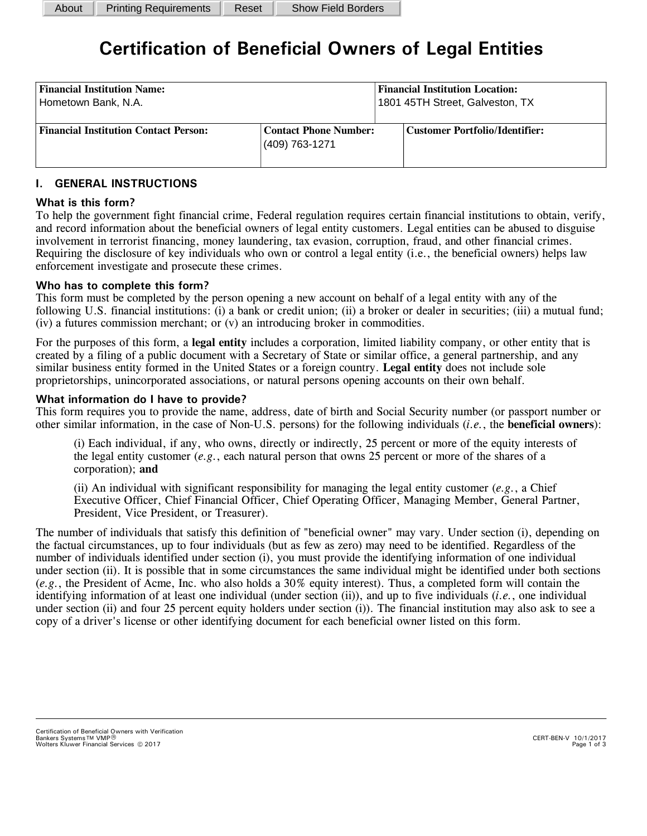About | Printing Requirements | Reset | Show Field Borders

# **Certification of Beneficial Owners of Legal Entities**

| <b>Financial Institution Name:</b>           |                                                  | <b>Financial Institution Location:</b> |                                 |
|----------------------------------------------|--------------------------------------------------|----------------------------------------|---------------------------------|
| Hometown Bank, N.A.                          |                                                  | 1801 45TH Street, Galveston, TX        |                                 |
| <b>Financial Institution Contact Person:</b> | <b>Contact Phone Number:</b><br>$(409)$ 763-1271 |                                        | Customer_Portfolio/Identifier:_ |

## **I. GENERAL INSTRUCTIONS**

#### **What is this form?**

To help the government fight financial crime, Federal regulation requires certain financial institutions to obtain, verify, and record information about the beneficial owners of legal entity customers. Legal entities can be abused to disguise involvement in terrorist financing, money laundering, tax evasion, corruption, fraud, and other financial crimes. Requiring the disclosure of key individuals who own or control a legal entity (i.e., the beneficial owners) helps law enforcement investigate and prosecute these crimes.

## **Who has to complete this form?**

This form must be completed by the person opening a new account on behalf of a legal entity with any of the following U.S. financial institutions: (i) a bank or credit union; (ii) a broker or dealer in securities; (iii) a mutual fund; (iv) a futures commission merchant; or (v) an introducing broker in commodities.

For the purposes of this form, a **legal entity** includes a corporation, limited liability company, or other entity that is created by a filing of a public document with a Secretary of State or similar office, a general partnership, and any similar business entity formed in the United States or a foreign country. **Legal entity** does not include sole proprietorships, unincorporated associations, or natural persons opening accounts on their own behalf.

#### **What information do I have to provide?**

This form requires you to provide the name, address, date of birth and Social Security number (or passport number or other similar information, in the case of Non-U.S. persons) for the following individuals (*i.e.*, the **beneficial owners**):

(i) Each individual, if any, who owns, directly or indirectly, 25 percent or more of the equity interests of the legal entity customer (*e.g.*, each natural person that owns 25 percent or more of the shares of a corporation); **and**

(ii) An individual with significant responsibility for managing the legal entity customer (*e.g.*, a Chief Executive Officer, Chief Financial Officer, Chief Operating Officer, Managing Member, General Partner, President, Vice President, or Treasurer).

The number of individuals that satisfy this definition of "beneficial owner" may vary. Under section (i), depending on the factual circumstances, up to four individuals (but as few as zero) may need to be identified. Regardless of the number of individuals identified under section (i), you must provide the identifying information of one individual under section (ii). It is possible that in some circumstances the same individual might be identified under both sections (*e.g.*, the President of Acme, Inc. who also holds a 30% equity interest). Thus, a completed form will contain the identifying information of at least one individual (under section (ii)), and up to five individuals (*i.e.*, one individual under section (ii) and four 25 percent equity holders under section (i)). The financial institution may also ask to see a copy of a driver's license or other identifying document for each beneficial owner listed on this form.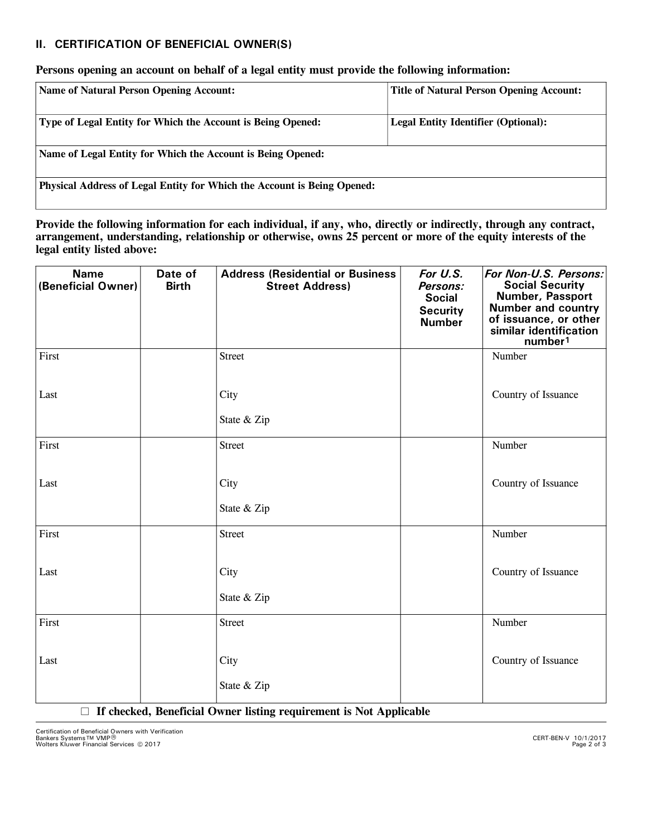#### **II. CERTIFICATION OF BENEFICIAL OWNER(S)**

#### **Persons opening an account on behalf of a legal entity must provide the following information:**

| <b>Name of Natural Person Opening Account:</b>                          | <b>Title of Natural Person Opening Account:</b> |
|-------------------------------------------------------------------------|-------------------------------------------------|
| Type of Legal Entity for Which the Account is Being Opened:             | <b>Legal Entity Identifier (Optional):</b>      |
| Name of Legal Entity for Which the Account is Being Opened:             |                                                 |
| Physical Address of Legal Entity for Which the Account is Being Opened: |                                                 |

**Provide the following information for each individual, if any, who, directly or indirectly, through any contract, arrangement, understanding, relationship or otherwise, owns 25 percent or more of the equity interests of the legal entity listed above:**

| <b>Name</b><br>(Beneficial Owner) | Date of<br><b>Birth</b> | <b>Address (Residential or Business</b><br><b>Street Address)</b> | For U.S.<br>Persons:<br><b>Social</b><br><b>Security</b><br><b>Number</b> | For Non-U.S. Persons:<br><b>Social Security</b><br><b>Number, Passport</b><br><b>Number and country</b><br>of issuance, or other<br>similar identification<br>number <sup>1</sup> |
|-----------------------------------|-------------------------|-------------------------------------------------------------------|---------------------------------------------------------------------------|-----------------------------------------------------------------------------------------------------------------------------------------------------------------------------------|
| First                             |                         | <b>Street</b>                                                     |                                                                           | Number                                                                                                                                                                            |
| Last                              |                         | City<br>State & Zip                                               |                                                                           | Country of Issuance                                                                                                                                                               |
| First                             |                         | <b>Street</b>                                                     |                                                                           | Number                                                                                                                                                                            |
| Last                              |                         | City<br>State & Zip                                               |                                                                           | Country of Issuance                                                                                                                                                               |
| First                             |                         | <b>Street</b>                                                     |                                                                           | Number                                                                                                                                                                            |
| Last                              |                         | City<br>State & Zip                                               |                                                                           | Country of Issuance                                                                                                                                                               |
| First                             |                         | <b>Street</b>                                                     |                                                                           | Number                                                                                                                                                                            |
| Last                              |                         | City<br>State & Zip                                               |                                                                           | Country of Issuance                                                                                                                                                               |

l **If checked, Beneficial Owner listing requirement is Not Applicable**

 $\overline{\phantom{a}}$